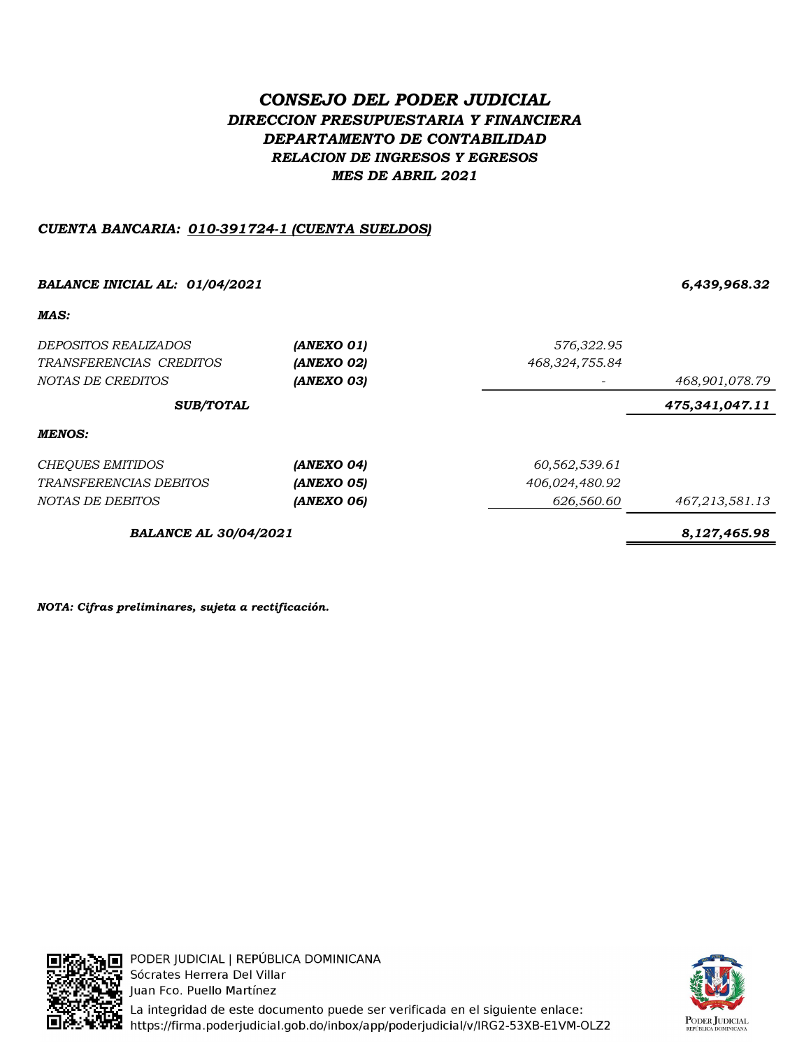# CONSEJO DEL PODER JUDICIAL DIRECCION PRESUPUESTARIA Y FINANCIERA DEPARTAMENTO DE CONTABILIDAD RELACION DE INGRESOS Y EGRESOS MES DE ABRIL 2021

## CUENTA BANCARIA: 010-391724-1 (CUENTA SUELDOS)

## BALANCE INICIAL AL: 01/04/2021 6,439,968.32

#### MAS:

| <i>DEPOSITOS REALIZADOS</i><br>TRANSFERENCIAS CREDITOS<br>NOTAS DE CREDITOS | (ANEXO 01)<br>(ANEXO 02)<br>(ANEXO 03) | 576,322.95<br>468,324,755.84 | 468,901,078.79 |  |
|-----------------------------------------------------------------------------|----------------------------------------|------------------------------|----------------|--|
| <b>SUB/TOTAL</b>                                                            |                                        |                              | 475,341,047.11 |  |
| MENOS:                                                                      |                                        |                              |                |  |
| CHEQUES EMITIDOS                                                            | (ANEXO 04)                             | 60,562,539.61                |                |  |
| <i>TRANSFERENCIAS DEBITOS</i>                                               | <i><b>(ANEXO 05)</b></i>               | 406,024,480.92               |                |  |
| NOTAS DE DEBITOS                                                            | (ANEXO 06)                             | 626,560.60                   | 467,213,581.13 |  |

BALANCE AL 30/04/2021 8,127,465.98

NOTA: Cifras preliminares, sujeta a rectificación.



PODER JUDICIAL | REPÚBLICA DOMINICANA Sócrates Herrera Del Villar Juan Fco. Puello Martínez La integridad de este documento puede ser verificada en el siguiente enlace: https://firma.poderjudicial.gob.do/inbox/app/poderjudicial/v/IRG2-53XB-E1VM-OLZ2

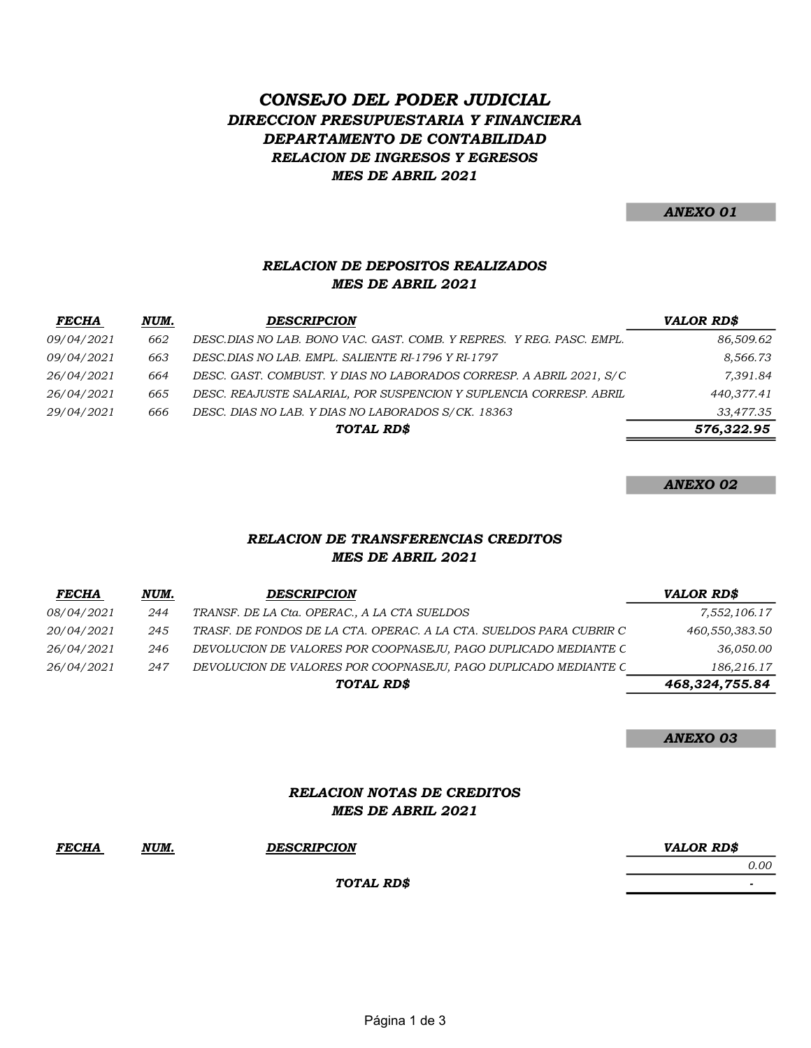# MES DE ABRIL 2021 RELACION DE INGRESOS Y EGRESOS CONSEJO DEL PODER JUDICIAL DIRECCION PRESUPUESTARIA Y FINANCIERA DEPARTAMENTO DE CONTABILIDAD

ANEXO 01

#### MES DE ABRIL 2021 RELACION DE DEPOSITOS REALIZADOS

| <b>FECHA</b>      | <u>NUM.</u> | <b>DESCRIPCION</b>                                                   | VALOR RD\$ |
|-------------------|-------------|----------------------------------------------------------------------|------------|
| <i>09/04/2021</i> | 662         | DESC.DIAS NO LAB. BONO VAC. GAST. COMB. Y REPRES. Y REG. PASC. EMPL. | 86,509.62  |
| <i>09/04/2021</i> | 663         | DESC.DIAS NO LAB. EMPL. SALIENTE RI-1796 Y RI-1797                   | 8,566.73   |
| 26/04/2021        | 664         | DESC. GAST. COMBUST. Y DIAS NO LABORADOS CORRESP. A ABRIL 2021, S/C  | 7,391.84   |
| 26/04/2021        | 665         | DESC. REAJUSTE SALARIAL, POR SUSPENCION Y SUPLENCIA CORRESP. ABRIL   | 440,377.41 |
| 29/04/2021        | 666         | DESC. DIAS NO LAB. Y DIAS NO LABORADOS S/CK. 18363                   | 33,477.35  |
|                   |             | TOTAL RD\$                                                           | 576,322.95 |

ANEXO 02

#### MES DE ABRIL 2021 RELACION DE TRANSFERENCIAS CREDITOS

| <b>FECHA</b>      | NUM. | <b>DESCRIPCION</b>                                                  | VALOR RD\$     |
|-------------------|------|---------------------------------------------------------------------|----------------|
| <i>08/04/2021</i> | 244  | TRANSF. DE LA Cta. OPERAC., A LA CTA SUELDOS                        | 7,552,106.17   |
| 20/04/2021        | 245  | TRASF. DE FONDOS DE LA CTA. OPERAC. A LA CTA. SUELDOS PARA CUBRIR C | 460,550,383.50 |
| 26/04/2021        | 246  | DEVOLUCION DE VALORES POR COOPNASEJU, PAGO DUPLICADO MEDIANTE C     | 36,050.00      |
| 26/04/2021        | 247  | DEVOLUCION DE VALORES POR COOPNASEJU, PAGO DUPLICADO MEDIANTE C     | 186,216.17     |
|                   |      | <b>TOTAL RDS</b>                                                    | 468,324,755.84 |
|                   |      |                                                                     |                |

ANEXO 03

#### RELACION NOTAS DE CREDITOS MES DE ABRIL 2021

FECHA NUM. DESCRIPCION WALOR RD\$

TOTAL RD\$

- 1990 - 1990 - 1990 - 1990 - 1990 - 1990 - 1990 - 1990 - 1990 - 1990 - 1990 - 1990 - 1990 - 1990 - 1990 - 199

0.00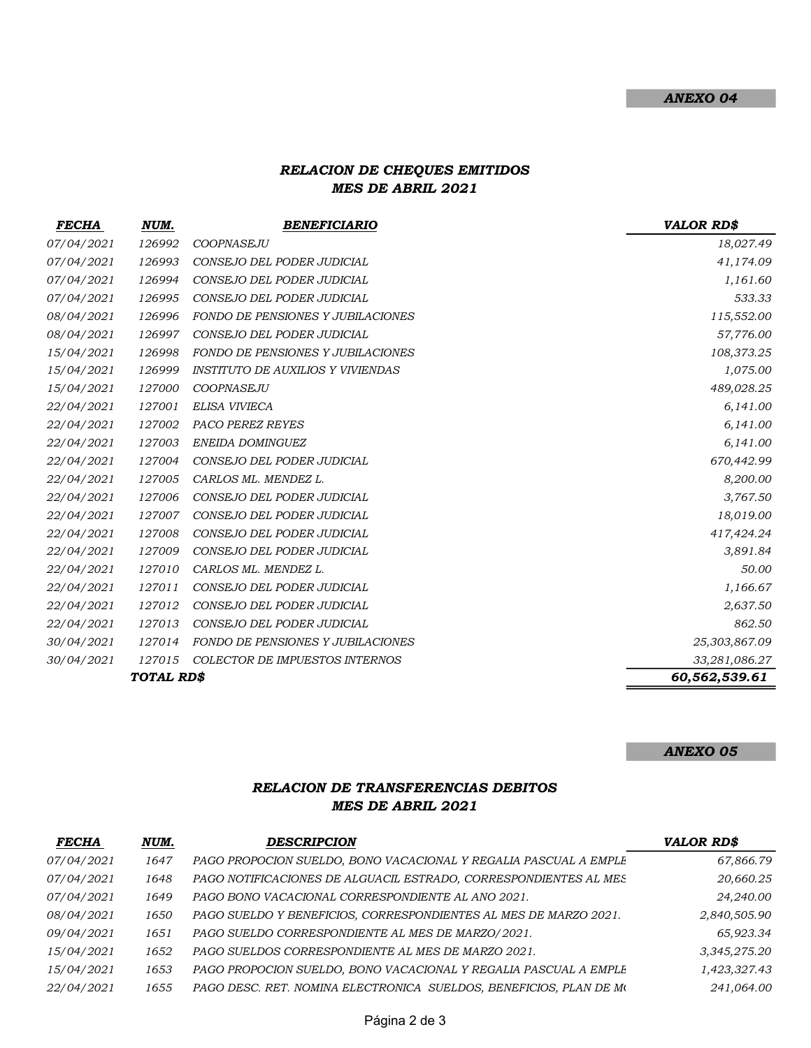## RELACION DE CHEQUES EMITIDOS MES DE ABRIL 2021

| <b>FECHA</b> | NUM.   | <b>BENEFICIARIO</b>                      | <b>VALOR RD\$</b> |
|--------------|--------|------------------------------------------|-------------------|
| 07/04/2021   | 126992 | COOPNASEJU                               | 18,027.49         |
| 07/04/2021   | 126993 | CONSEJO DEL PODER JUDICIAL               | 41,174.09         |
| 07/04/2021   | 126994 | CONSEJO DEL PODER JUDICIAL               | 1,161.60          |
| 07/04/2021   | 126995 | CONSEJO DEL PODER JUDICIAL               | 533.33            |
| 08/04/2021   | 126996 | <b>FONDO DE PENSIONES Y JUBILACIONES</b> | 115,552.00        |
| 08/04/2021   | 126997 | CONSEJO DEL PODER JUDICIAL               | 57,776.00         |
| 15/04/2021   | 126998 | FONDO DE PENSIONES Y JUBILACIONES        | 108,373.25        |
| 15/04/2021   | 126999 | <i>INSTITUTO DE AUXILIOS Y VIVIENDAS</i> | 1,075.00          |
| 15/04/2021   | 127000 | COOPNASEJU                               | 489,028.25        |
| 22/04/2021   | 127001 | ELISA VIVIECA                            | 6,141.00          |
| 22/04/2021   | 127002 | PACO PEREZ REYES                         | 6,141.00          |
| 22/04/2021   | 127003 | ENEIDA DOMINGUEZ                         | 6,141.00          |
| 22/04/2021   | 127004 | CONSEJO DEL PODER JUDICIAL               | 670,442.99        |
| 22/04/2021   | 127005 | CARLOS ML. MENDEZ L.                     | 8,200.00          |
| 22/04/2021   | 127006 | CONSEJO DEL PODER JUDICIAL               | 3,767.50          |
| 22/04/2021   | 127007 | CONSEJO DEL PODER JUDICIAL               | 18,019.00         |
| 22/04/2021   | 127008 | CONSEJO DEL PODER JUDICIAL               | 417,424.24        |
| 22/04/2021   | 127009 | CONSEJO DEL PODER JUDICIAL               | 3,891.84          |
| 22/04/2021   | 127010 | CARLOS ML. MENDEZ L.                     | 50.00             |
| 22/04/2021   | 127011 | CONSEJO DEL PODER JUDICIAL               | 1,166.67          |
| 22/04/2021   | 127012 | CONSEJO DEL PODER JUDICIAL               | 2,637.50          |
| 22/04/2021   | 127013 | CONSEJO DEL PODER JUDICIAL               | 862.50            |
| 30/04/2021   | 127014 | <b>FONDO DE PENSIONES Y JUBILACIONES</b> | 25,303,867.09     |
| 30/04/2021   | 127015 | COLECTOR DE IMPUESTOS INTERNOS           | 33,281,086.27     |
| TOTAL RD\$   |        |                                          | 60,562,539.61     |

#### ANEXO 05

## RELACION DE TRANSFERENCIAS DEBITOS MES DE ABRIL 2021

| <b>FECHA</b>      | <u>NUM.</u> | <b>DESCRIPCION</b>                                                 | VALOR RD\$   |
|-------------------|-------------|--------------------------------------------------------------------|--------------|
| <i>07/04/2021</i> | 1647        | PAGO PROPOCION SUELDO, BONO VACACIONAL Y REGALIA PASCUAL A EMPLE   | 67,866.79    |
| <i>07/04/2021</i> | 1648        | PAGO NOTIFICACIONES DE ALGUACIL ESTRADO, CORRESPONDIENTES AL MES   | 20,660.25    |
| <i>07/04/2021</i> | 1649        | PAGO BONO VACACIONAL CORRESPONDIENTE AL ANO 2021.                  | 24,240.00    |
| <i>08/04/2021</i> | 1650        | PAGO SUELDO Y BENEFICIOS, CORRESPONDIENTES AL MES DE MARZO 2021.   | 2,840,505.90 |
| <i>09/04/2021</i> | 1651        | PAGO SUELDO CORRESPONDIENTE AL MES DE MARZO/2021.                  | 65,923.34    |
| 15/04/2021        | 1652        | PAGO SUELDOS CORRESPONDIENTE AL MES DE MARZO 2021.                 | 3,345,275.20 |
| 15/04/2021        | 1653        | PAGO PROPOCION SUELDO, BONO VACACIONAL Y REGALIA PASCUAL A EMPLE   | 1,423,327.43 |
| 22/04/2021        | 1655        | PAGO DESC. RET. NOMINA ELECTRONICA SUELDOS, BENEFICIOS, PLAN DE MO | 241,064.00   |